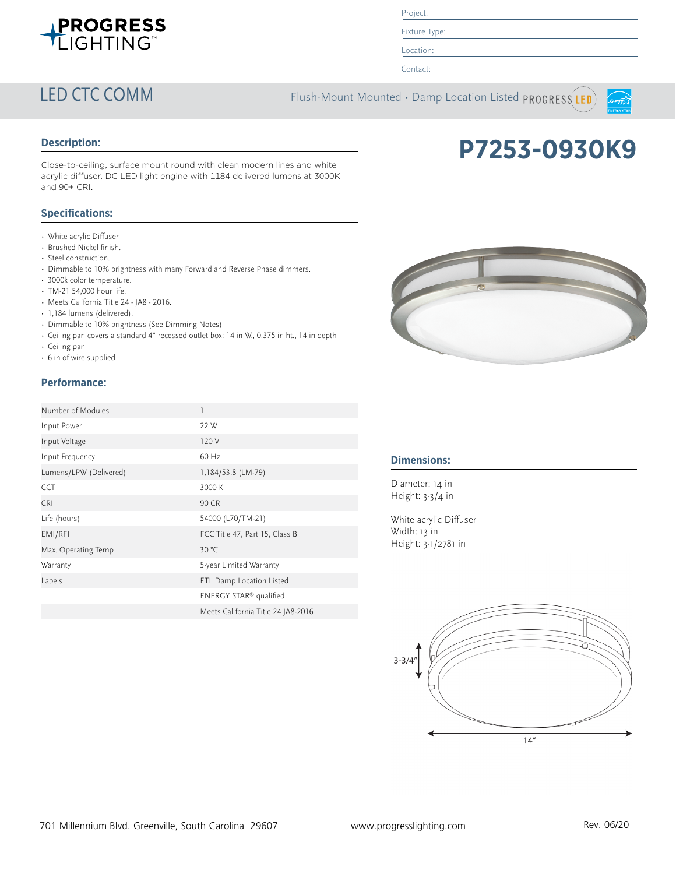

# Project:

Fixture Type:

Location:

Contact:

LED CTC COMM Flush-Mount Mounted · Damp Location Listed PROGRESS LED



## **Description:**

Close-to-ceiling, surface mount round with clean modern lines and white acrylic diffuser. DC LED light engine with 1184 delivered lumens at 3000K and 90+ CRI.

## **Specifications:**

- White acrylic Diffuser
- Brushed Nickel finish.
- Steel construction.
- Dimmable to 10% brightness with many Forward and Reverse Phase dimmers.
- 3000k color temperature.
- TM-21 54,000 hour life.
- Meets California Title 24 JA8 2016.
- 1,184 lumens (delivered).
- Dimmable to 10% brightness (See Dimming Notes)
- Ceiling pan covers a standard 4" recessed outlet box: 14 in W., 0.375 in ht., 14 in depth
- Ceiling pan
- 6 in of wire supplied

# **Performance:**

| Number of Modules      | 1                                  |
|------------------------|------------------------------------|
| Input Power            | 22 W                               |
| Input Voltage          | 120 V                              |
| Input Frequency        | $60$ Hz                            |
| Lumens/LPW (Delivered) | 1,184/53.8 (LM-79)                 |
| <b>CCT</b>             | 3000 K                             |
| <b>CRI</b>             | <b>90 CRI</b>                      |
| Life (hours)           | 54000 (L70/TM-21)                  |
| EMI/RFI                | FCC Title 47, Part 15, Class B     |
| Max. Operating Temp    | 30 °C                              |
| Warranty               | 5-year Limited Warranty            |
| Labels                 | ETL Damp Location Listed           |
|                        | ENERGY STAR <sup>®</sup> qualified |
|                        | Meets California Title 24 JA8-2016 |



**P7253-0930K9**

## **Dimensions:**

Diameter: 14 in Height: 3-3/4 in

White acrylic Diffuser Width: 13 in Height: 3-1/2781 in

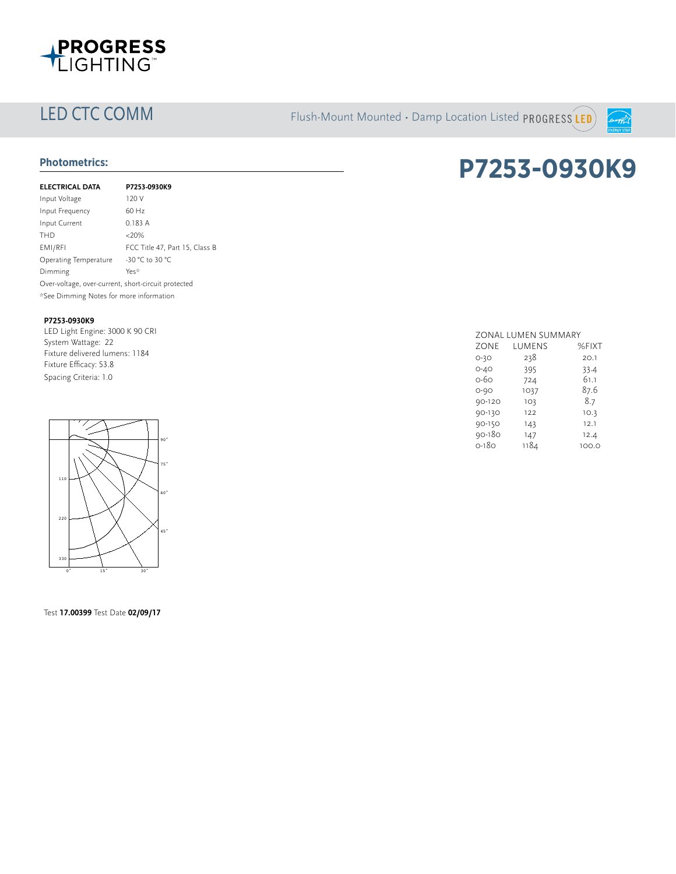

LED CTC COMM Flush-Mount Mounted • Damp Location Listed PROGRESS LED



| <b>ELECTRICAL DATA</b>                              | P7253-0930K9                   |
|-----------------------------------------------------|--------------------------------|
| Input Voltage                                       | 120 V                          |
| Input Frequency                                     | $60$ Hz                        |
| Input Current                                       | 0.183 A                        |
| <b>THD</b>                                          | $<20\%$                        |
| EMI/RFI                                             | FCC Title 47, Part 15, Class B |
| Operating Temperature                               | -30 °C to 30 °C                |
| Dimming                                             | Yes*                           |
| Over-voltage, over-current, short-circuit protected |                                |
| *See Dimming Notes for more information             |                                |
|                                                     |                                |

### **P7253-0930K9**

LED Light Engine: 3000 K 90 CRI System Wattage: 22 Fixture delivered lumens: 1184 Fixture Efficacy: 53.8 Spacing Criteria: 1.0



Test **17.00399** Test Date **02/09/17**

# Photometrics: **Protometrics:** P7253-0930K9

|          | ZONAL LUMEN SUMMARY |       |  |
|----------|---------------------|-------|--|
| ZONE     | LUMENS              | %FIXT |  |
| $O-3O$   | 238                 | 20.1  |  |
| $O - 4O$ | 395                 | 33.4  |  |
| 0-60     | 724                 | 61.1  |  |
| $O - 9O$ | 1037                | 87.6  |  |
| 90-120   | 103                 | 8.7   |  |
| 90-130   | 122                 | 10.3  |  |
| 90-150   | 143                 | 12.1  |  |
| 90-180   | 147                 | 12.4  |  |
| 0-180    | 1184                | 100.0 |  |